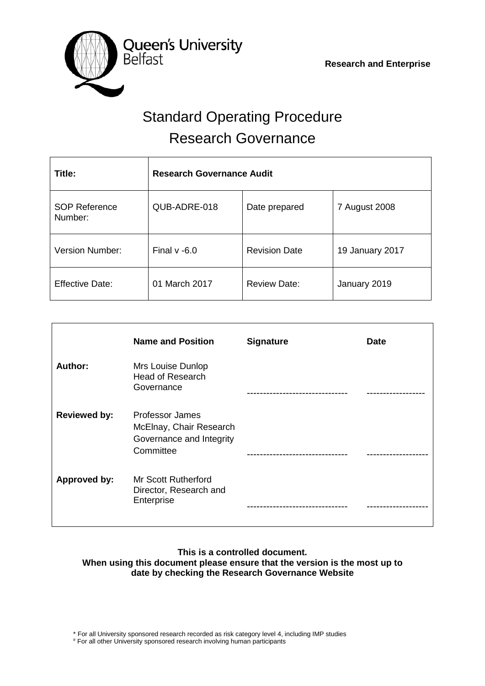

# Standard Operating Procedure Research Governance

| Title:                          | <b>Research Governance Audit</b> |                      |                 |  |  |  |  |
|---------------------------------|----------------------------------|----------------------|-----------------|--|--|--|--|
| <b>SOP Reference</b><br>Number: | QUB-ADRE-018                     | Date prepared        | 7 August 2008   |  |  |  |  |
| Version Number:                 | Final $v - 6.0$                  | <b>Revision Date</b> | 19 January 2017 |  |  |  |  |
| <b>Effective Date:</b>          | 01 March 2017                    | <b>Review Date:</b>  | January 2019    |  |  |  |  |

|                     | <b>Name and Position</b>                                                                   | <b>Signature</b> | <b>Date</b> |
|---------------------|--------------------------------------------------------------------------------------------|------------------|-------------|
| Author:             | Mrs Louise Dunlop<br><b>Head of Research</b><br>Governance                                 |                  |             |
| <b>Reviewed by:</b> | <b>Professor James</b><br>McElnay, Chair Research<br>Governance and Integrity<br>Committee |                  |             |
| <b>Approved by:</b> | Mr Scott Rutherford<br>Director, Research and<br>Enterprise                                |                  |             |

# **This is a controlled document. When using this document please ensure that the version is the most up to date by checking the Research Governance Website**

\* For all University sponsored research recorded as risk category level 4, including IMP studies

# For all other University sponsored research involving human participants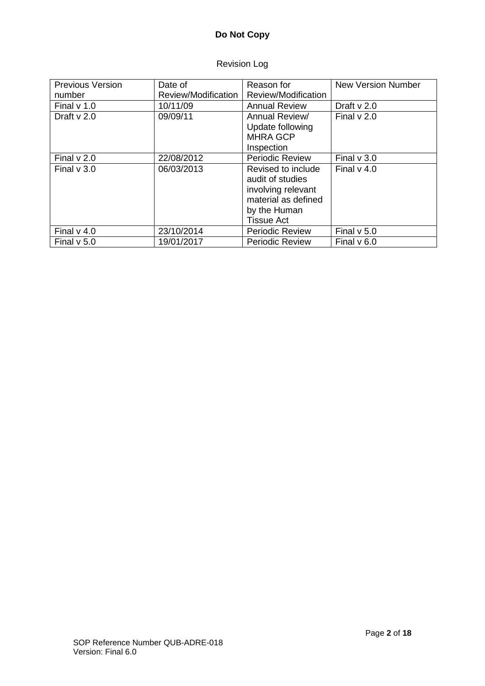# **Do Not Copy**

# Revision Log

| <b>Previous Version</b> | Date of             | Reason for             | <b>New Version Number</b> |
|-------------------------|---------------------|------------------------|---------------------------|
| number                  | Review/Modification | Review/Modification    |                           |
| Final $v$ 1.0           | 10/11/09            | <b>Annual Review</b>   | Draft $v$ 2.0             |
| Draft $v$ 2.0           | 09/09/11            | Annual Review/         | Final $v$ 2.0             |
|                         |                     | Update following       |                           |
|                         |                     | <b>MHRA GCP</b>        |                           |
|                         |                     | Inspection             |                           |
| Final $v$ 2.0           | 22/08/2012          | <b>Periodic Review</b> | Final $v$ 3.0             |
| Final $v$ 3.0           | 06/03/2013          | Revised to include     | Final $v$ 4.0             |
|                         |                     | audit of studies       |                           |
|                         |                     | involving relevant     |                           |
|                         |                     | material as defined    |                           |
|                         |                     | by the Human           |                           |
|                         |                     | <b>Tissue Act</b>      |                           |
| Final $v$ 4.0           | 23/10/2014          | Periodic Review        | Final $v$ 5.0             |
| Final $v$ 5.0           | 19/01/2017          | <b>Periodic Review</b> | Final $v$ 6.0             |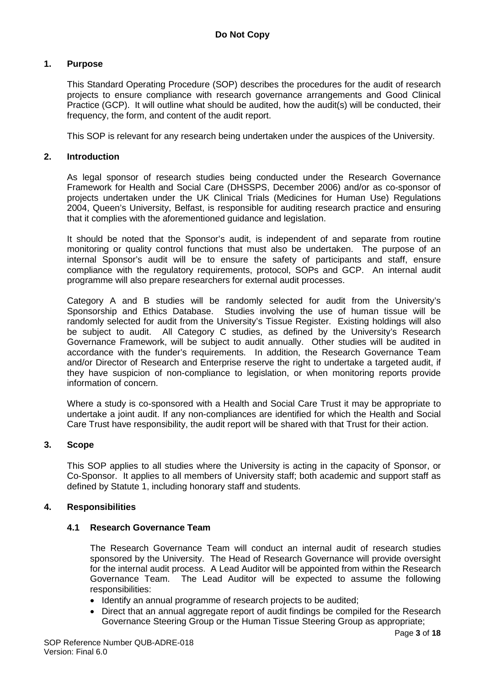# **1. Purpose**

This Standard Operating Procedure (SOP) describes the procedures for the audit of research projects to ensure compliance with research governance arrangements and Good Clinical Practice (GCP). It will outline what should be audited, how the audit(s) will be conducted, their frequency, the form, and content of the audit report.

This SOP is relevant for any research being undertaken under the auspices of the University.

#### **2. Introduction**

As legal sponsor of research studies being conducted under the Research Governance Framework for Health and Social Care (DHSSPS, December 2006) and/or as co-sponsor of projects undertaken under the UK Clinical Trials (Medicines for Human Use) Regulations 2004, Queen's University, Belfast, is responsible for auditing research practice and ensuring that it complies with the aforementioned guidance and legislation.

It should be noted that the Sponsor's audit, is independent of and separate from routine monitoring or quality control functions that must also be undertaken. The purpose of an internal Sponsor's audit will be to ensure the safety of participants and staff, ensure compliance with the regulatory requirements, protocol, SOPs and GCP. An internal audit programme will also prepare researchers for external audit processes.

Category A and B studies will be randomly selected for audit from the University's Sponsorship and Ethics Database. Studies involving the use of human tissue will be randomly selected for audit from the University's Tissue Register. Existing holdings will also be subject to audit. All Category C studies, as defined by the University's Research Governance Framework, will be subject to audit annually. Other studies will be audited in accordance with the funder's requirements. In addition, the Research Governance Team and/or Director of Research and Enterprise reserve the right to undertake a targeted audit, if they have suspicion of non-compliance to legislation, or when monitoring reports provide information of concern.

Where a study is co-sponsored with a Health and Social Care Trust it may be appropriate to undertake a joint audit. If any non-compliances are identified for which the Health and Social Care Trust have responsibility, the audit report will be shared with that Trust for their action.

# **3. Scope**

This SOP applies to all studies where the University is acting in the capacity of Sponsor, or Co-Sponsor. It applies to all members of University staff; both academic and support staff as defined by Statute 1, including honorary staff and students.

#### **4. Responsibilities**

# **4.1 Research Governance Team**

The Research Governance Team will conduct an internal audit of research studies sponsored by the University. The Head of Research Governance will provide oversight for the internal audit process. A Lead Auditor will be appointed from within the Research Governance Team. The Lead Auditor will be expected to assume the following responsibilities:

- Identify an annual programme of research projects to be audited;
- Direct that an annual aggregate report of audit findings be compiled for the Research Governance Steering Group or the Human Tissue Steering Group as appropriate;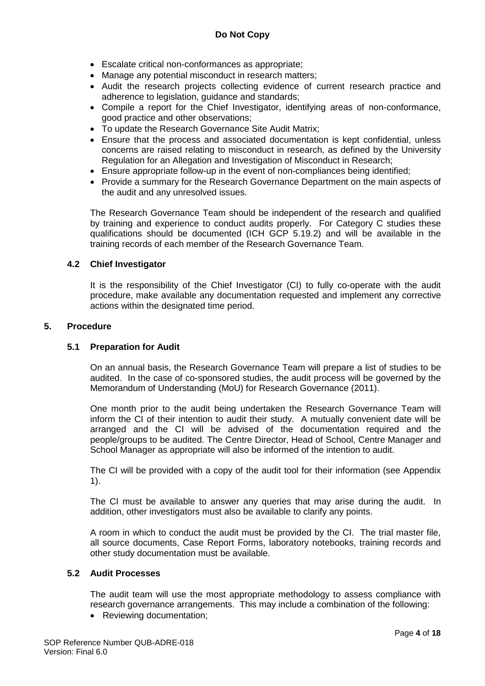- Escalate critical non-conformances as appropriate;
- Manage any potential misconduct in research matters;
- Audit the research projects collecting evidence of current research practice and adherence to legislation, guidance and standards;
- Compile a report for the Chief Investigator, identifying areas of non-conformance, good practice and other observations;
- To update the Research Governance Site Audit Matrix;
- Ensure that the process and associated documentation is kept confidential, unless concerns are raised relating to misconduct in research, as defined by the University Regulation for an Allegation and Investigation of Misconduct in Research;
- Ensure appropriate follow-up in the event of non-compliances being identified;
- Provide a summary for the Research Governance Department on the main aspects of the audit and any unresolved issues.

The Research Governance Team should be independent of the research and qualified by training and experience to conduct audits properly. For Category C studies these qualifications should be documented (ICH GCP 5.19.2) and will be available in the training records of each member of the Research Governance Team.

# **4.2 Chief Investigator**

It is the responsibility of the Chief Investigator (CI) to fully co-operate with the audit procedure, make available any documentation requested and implement any corrective actions within the designated time period.

# **5. Procedure**

# **5.1 Preparation for Audit**

On an annual basis, the Research Governance Team will prepare a list of studies to be audited. In the case of co-sponsored studies, the audit process will be governed by the Memorandum of Understanding (MoU) for Research Governance (2011).

One month prior to the audit being undertaken the Research Governance Team will inform the CI of their intention to audit their study. A mutually convenient date will be arranged and the CI will be advised of the documentation required and the people/groups to be audited. The Centre Director, Head of School, Centre Manager and School Manager as appropriate will also be informed of the intention to audit.

The CI will be provided with a copy of the audit tool for their information (see Appendix 1).

The CI must be available to answer any queries that may arise during the audit. In addition, other investigators must also be available to clarify any points.

A room in which to conduct the audit must be provided by the CI. The trial master file, all source documents, Case Report Forms, laboratory notebooks, training records and other study documentation must be available.

# **5.2 Audit Processes**

The audit team will use the most appropriate methodology to assess compliance with research governance arrangements. This may include a combination of the following:

• Reviewing documentation;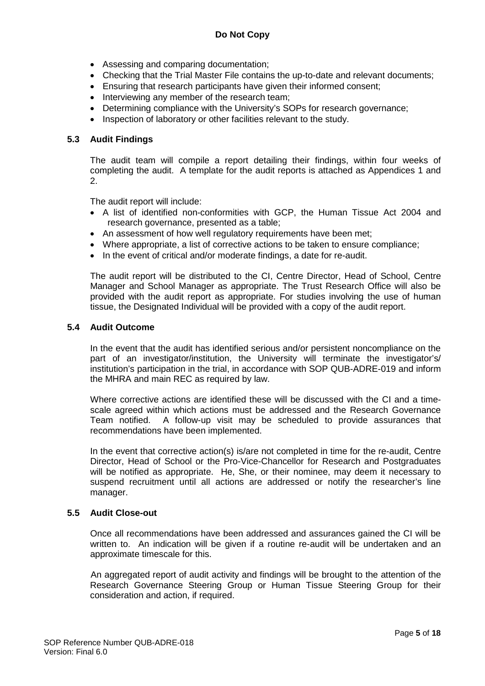- Assessing and comparing documentation;
- Checking that the Trial Master File contains the up-to-date and relevant documents;
- Ensuring that research participants have given their informed consent;
- Interviewing any member of the research team;
- Determining compliance with the University's SOPs for research governance;
- Inspection of laboratory or other facilities relevant to the study.

# **5.3 Audit Findings**

The audit team will compile a report detailing their findings, within four weeks of completing the audit. A template for the audit reports is attached as Appendices 1 and 2.

The audit report will include:

- A list of identified non-conformities with GCP, the Human Tissue Act 2004 and research governance, presented as a table;
- An assessment of how well requiatory requirements have been met;
- Where appropriate, a list of corrective actions to be taken to ensure compliance;
- In the event of critical and/or moderate findings, a date for re-audit.

The audit report will be distributed to the CI, Centre Director, Head of School, Centre Manager and School Manager as appropriate. The Trust Research Office will also be provided with the audit report as appropriate. For studies involving the use of human tissue, the Designated Individual will be provided with a copy of the audit report.

#### **5.4 Audit Outcome**

In the event that the audit has identified serious and/or persistent noncompliance on the part of an investigator/institution, the University will terminate the investigator's/ institution's participation in the trial, in accordance with SOP QUB-ADRE-019 and inform the MHRA and main REC as required by law.

Where corrective actions are identified these will be discussed with the CI and a timescale agreed within which actions must be addressed and the Research Governance Team notified. A follow-up visit may be scheduled to provide assurances that recommendations have been implemented.

In the event that corrective action(s) is/are not completed in time for the re-audit, Centre Director, Head of School or the Pro-Vice-Chancellor for Research and Postgraduates will be notified as appropriate. He, She, or their nominee, may deem it necessary to suspend recruitment until all actions are addressed or notify the researcher's line manager.

# **5.5 Audit Close-out**

Once all recommendations have been addressed and assurances gained the CI will be written to. An indication will be given if a routine re-audit will be undertaken and an approximate timescale for this.

An aggregated report of audit activity and findings will be brought to the attention of the Research Governance Steering Group or Human Tissue Steering Group for their consideration and action, if required.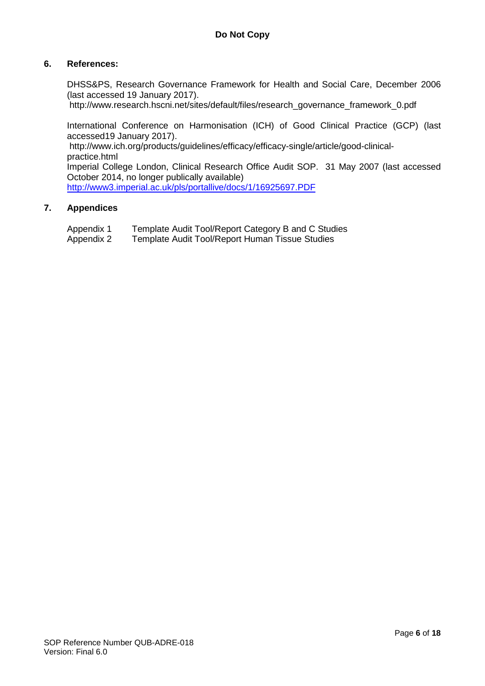# **6. References:**

DHSS&PS, Research Governance Framework for Health and Social Care, December 2006 (last accessed 19 January 2017).

http://www.research.hscni.net/sites/default/files/research\_governance\_framework\_0.pdf

International Conference on Harmonisation (ICH) of Good Clinical Practice (GCP) (last accessed19 January 2017).

http://www.ich.org/products/guidelines/efficacy/efficacy-single/article/good-clinicalpractice.html

Imperial College London, Clinical Research Office Audit SOP. 31 May 2007 (last accessed October 2014, no longer publically available)

<http://www3.imperial.ac.uk/pls/portallive/docs/1/16925697.PDF>

# **7. Appendices**

Appendix 1 Template Audit Tool/Report Category B and C Studies<br>Appendix 2 Template Audit Tool/Report Human Tissue Studies

Template Audit Tool/Report Human Tissue Studies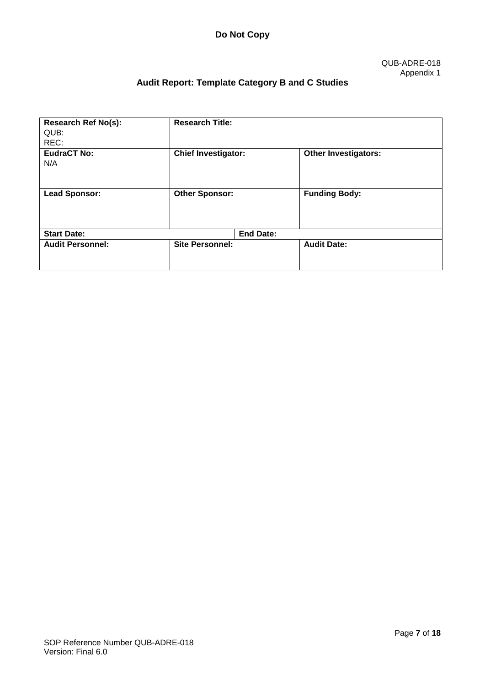# **Audit Report: Template Category B and C Studies**

| <b>Research Ref No(s):</b><br>QUB:<br>REC: | <b>Research Title:</b>     |                  |                             |
|--------------------------------------------|----------------------------|------------------|-----------------------------|
| <b>EudraCT No:</b><br>N/A                  | <b>Chief Investigator:</b> |                  | <b>Other Investigators:</b> |
| <b>Lead Sponsor:</b>                       | <b>Other Sponsor:</b>      |                  | <b>Funding Body:</b>        |
| <b>Start Date:</b>                         |                            | <b>End Date:</b> |                             |
| <b>Audit Personnel:</b>                    | <b>Site Personnel:</b>     |                  | <b>Audit Date:</b>          |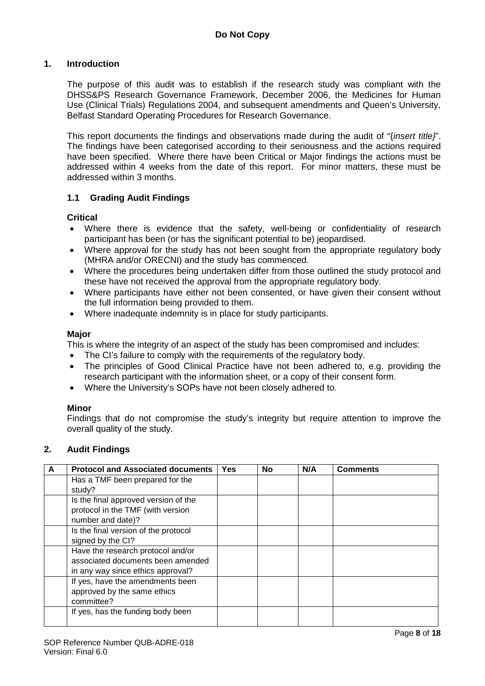# **1. Introduction**

The purpose of this audit was to establish if the research study was compliant with the DHSS&PS Research Governance Framework, December 2006, the Medicines for Human Use (Clinical Trials) Regulations 2004, and subsequent amendments and Queen's University, Belfast Standard Operating Procedures for Research Governance.

This report documents the findings and observations made during the audit of "{*insert title}*". The findings have been categorised according to their seriousness and the actions required have been specified. Where there have been Critical or Major findings the actions must be addressed within 4 weeks from the date of this report. For minor matters, these must be addressed within 3 months.

# **1.1 Grading Audit Findings**

**Critical**

- Where there is evidence that the safety, well-being or confidentiality of research participant has been (or has the significant potential to be) jeopardised.
- Where approval for the study has not been sought from the appropriate regulatory body (MHRA and/or ORECNI) and the study has commenced.
- Where the procedures being undertaken differ from those outlined the study protocol and these have not received the approval from the appropriate regulatory body.
- Where participants have either not been consented, or have given their consent without the full information being provided to them.
- Where inadequate indemnity is in place for study participants.

# **Major**

This is where the integrity of an aspect of the study has been compromised and includes:

- The CI's failure to comply with the requirements of the regulatory body.
- The principles of Good Clinical Practice have not been adhered to, e.g. providing the research participant with the information sheet, or a copy of their consent form.
- Where the University's SOPs have not been closely adhered to.

# **Minor**

Findings that do not compromise the study's integrity but require attention to improve the overall quality of the study.

# **2. Audit Findings**

| A | <b>Protocol and Associated documents</b> | <b>Yes</b> | <b>No</b> | N/A | <b>Comments</b> |
|---|------------------------------------------|------------|-----------|-----|-----------------|
|   | Has a TMF been prepared for the          |            |           |     |                 |
|   | study?                                   |            |           |     |                 |
|   | Is the final approved version of the     |            |           |     |                 |
|   | protocol in the TMF (with version        |            |           |     |                 |
|   | number and date)?                        |            |           |     |                 |
|   | Is the final version of the protocol     |            |           |     |                 |
|   | signed by the CI?                        |            |           |     |                 |
|   | Have the research protocol and/or        |            |           |     |                 |
|   | associated documents been amended        |            |           |     |                 |
|   | in any way since ethics approval?        |            |           |     |                 |
|   | If yes, have the amendments been         |            |           |     |                 |
|   | approved by the same ethics              |            |           |     |                 |
|   | committee?                               |            |           |     |                 |
|   | If yes, has the funding body been        |            |           |     |                 |
|   |                                          |            |           |     |                 |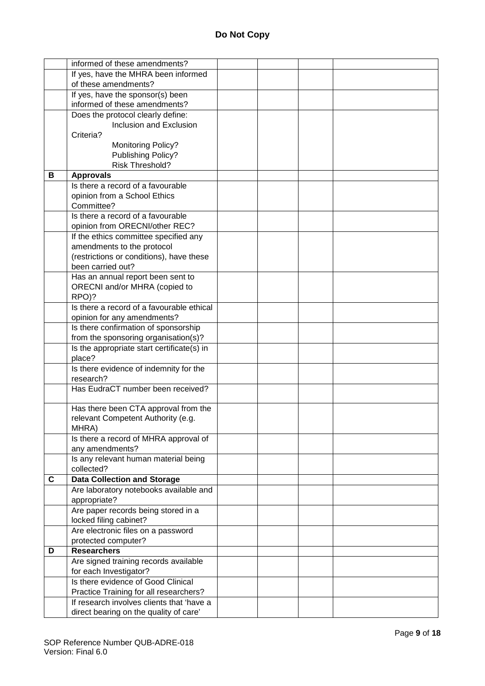|   | informed of these amendments?              |  |  |
|---|--------------------------------------------|--|--|
|   | If yes, have the MHRA been informed        |  |  |
|   | of these amendments?                       |  |  |
|   | If yes, have the sponsor(s) been           |  |  |
|   | informed of these amendments?              |  |  |
|   | Does the protocol clearly define:          |  |  |
|   | Inclusion and Exclusion                    |  |  |
|   | Criteria?                                  |  |  |
|   | Monitoring Policy?                         |  |  |
|   | Publishing Policy?                         |  |  |
|   | Risk Threshold?                            |  |  |
| в | <b>Approvals</b>                           |  |  |
|   | Is there a record of a favourable          |  |  |
|   | opinion from a School Ethics               |  |  |
|   | Committee?                                 |  |  |
|   | Is there a record of a favourable          |  |  |
|   | opinion from ORECNI/other REC?             |  |  |
|   | If the ethics committee specified any      |  |  |
|   | amendments to the protocol                 |  |  |
|   | (restrictions or conditions), have these   |  |  |
|   | been carried out?                          |  |  |
|   | Has an annual report been sent to          |  |  |
|   | ORECNI and/or MHRA (copied to              |  |  |
|   | RPO)?                                      |  |  |
|   | Is there a record of a favourable ethical  |  |  |
|   | opinion for any amendments?                |  |  |
|   | Is there confirmation of sponsorship       |  |  |
|   | from the sponsoring organisation(s)?       |  |  |
|   | Is the appropriate start certificate(s) in |  |  |
|   | place?                                     |  |  |
|   | Is there evidence of indemnity for the     |  |  |
|   | research?                                  |  |  |
|   | Has EudraCT number been received?          |  |  |
|   |                                            |  |  |
|   | Has there been CTA approval from the       |  |  |
|   | relevant Competent Authority (e.g.         |  |  |
|   | MHRA)                                      |  |  |
|   | Is there a record of MHRA approval of      |  |  |
|   | any amendments?                            |  |  |
|   | Is any relevant human material being       |  |  |
|   | collected?                                 |  |  |
| C | <b>Data Collection and Storage</b>         |  |  |
|   | Are laboratory notebooks available and     |  |  |
|   | appropriate?                               |  |  |
|   | Are paper records being stored in a        |  |  |
|   | locked filing cabinet?                     |  |  |
|   | Are electronic files on a password         |  |  |
|   | protected computer?                        |  |  |
| D | <b>Researchers</b>                         |  |  |
|   | Are signed training records available      |  |  |
|   | for each Investigator?                     |  |  |
|   | Is there evidence of Good Clinical         |  |  |
|   | Practice Training for all researchers?     |  |  |
|   | If research involves clients that 'have a  |  |  |
|   | direct bearing on the quality of care'     |  |  |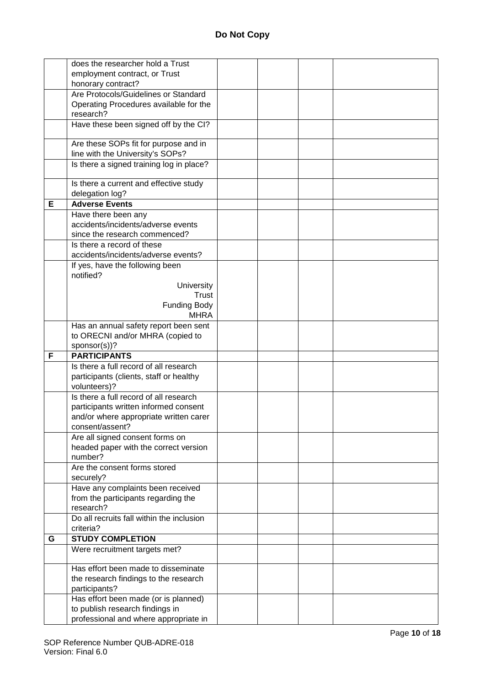|   | does the researcher hold a Trust                                         |  |  |
|---|--------------------------------------------------------------------------|--|--|
|   | employment contract, or Trust                                            |  |  |
|   | honorary contract?                                                       |  |  |
|   | Are Protocols/Guidelines or Standard                                     |  |  |
|   | Operating Procedures available for the                                   |  |  |
|   | research?                                                                |  |  |
|   | Have these been signed off by the CI?                                    |  |  |
|   |                                                                          |  |  |
|   | Are these SOPs fit for purpose and in                                    |  |  |
|   | line with the University's SOPs?                                         |  |  |
|   | Is there a signed training log in place?                                 |  |  |
|   |                                                                          |  |  |
|   | Is there a current and effective study                                   |  |  |
|   | delegation log?                                                          |  |  |
| Е | <b>Adverse Events</b>                                                    |  |  |
|   | Have there been any<br>accidents/incidents/adverse events                |  |  |
|   |                                                                          |  |  |
|   | since the research commenced?<br>Is there a record of these              |  |  |
|   | accidents/incidents/adverse events?                                      |  |  |
|   | If yes, have the following been                                          |  |  |
|   | notified?                                                                |  |  |
|   | University                                                               |  |  |
|   | Trust                                                                    |  |  |
|   | <b>Funding Body</b>                                                      |  |  |
|   | <b>MHRA</b>                                                              |  |  |
|   | Has an annual safety report been sent                                    |  |  |
|   | to ORECNI and/or MHRA (copied to                                         |  |  |
|   | sponsor(s))?                                                             |  |  |
| F | <b>PARTICIPANTS</b>                                                      |  |  |
|   |                                                                          |  |  |
|   | Is there a full record of all research                                   |  |  |
|   |                                                                          |  |  |
|   | participants (clients, staff or healthy<br>volunteers)?                  |  |  |
|   | Is there a full record of all research                                   |  |  |
|   | participants written informed consent                                    |  |  |
|   | and/or where appropriate written carer                                   |  |  |
|   | consent/assent?                                                          |  |  |
|   | Are all signed consent forms on                                          |  |  |
|   | headed paper with the correct version                                    |  |  |
|   | number?                                                                  |  |  |
|   | Are the consent forms stored                                             |  |  |
|   | securely?                                                                |  |  |
|   | Have any complaints been received                                        |  |  |
|   | from the participants regarding the                                      |  |  |
|   | research?                                                                |  |  |
|   | Do all recruits fall within the inclusion                                |  |  |
|   | criteria?                                                                |  |  |
| G | <b>STUDY COMPLETION</b>                                                  |  |  |
|   | Were recruitment targets met?                                            |  |  |
|   | Has effort been made to disseminate                                      |  |  |
|   | the research findings to the research                                    |  |  |
|   | participants?                                                            |  |  |
|   | Has effort been made (or is planned)                                     |  |  |
|   | to publish research findings in<br>professional and where appropriate in |  |  |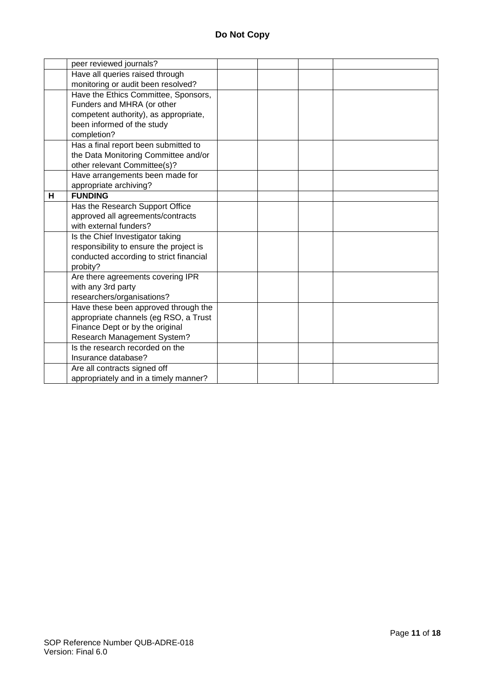|   | peer reviewed journals?                 |  |  |
|---|-----------------------------------------|--|--|
|   | Have all queries raised through         |  |  |
|   | monitoring or audit been resolved?      |  |  |
|   | Have the Ethics Committee, Sponsors,    |  |  |
|   | Funders and MHRA (or other              |  |  |
|   | competent authority), as appropriate,   |  |  |
|   | been informed of the study              |  |  |
|   | completion?                             |  |  |
|   | Has a final report been submitted to    |  |  |
|   | the Data Monitoring Committee and/or    |  |  |
|   | other relevant Committee(s)?            |  |  |
|   | Have arrangements been made for         |  |  |
|   | appropriate archiving?                  |  |  |
| н | <b>FUNDING</b>                          |  |  |
|   | Has the Research Support Office         |  |  |
|   | approved all agreements/contracts       |  |  |
|   | with external funders?                  |  |  |
|   | Is the Chief Investigator taking        |  |  |
|   | responsibility to ensure the project is |  |  |
|   | conducted according to strict financial |  |  |
|   | probity?                                |  |  |
|   | Are there agreements covering IPR       |  |  |
|   | with any 3rd party                      |  |  |
|   | researchers/organisations?              |  |  |
|   | Have these been approved through the    |  |  |
|   | appropriate channels (eg RSO, a Trust   |  |  |
|   | Finance Dept or by the original         |  |  |
|   | Research Management System?             |  |  |
|   | Is the research recorded on the         |  |  |
|   | Insurance database?                     |  |  |
|   | Are all contracts signed off            |  |  |
|   | appropriately and in a timely manner?   |  |  |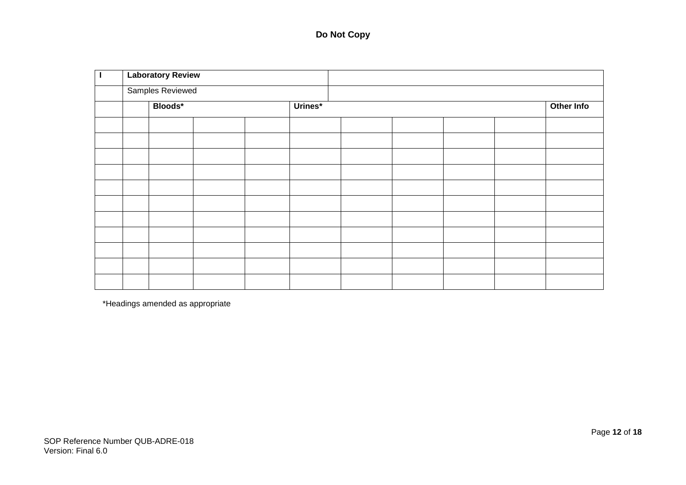# **Do Not Copy**

| <b>Laboratory Review</b> |         |  |  |         |  |  |  |  |            |
|--------------------------|---------|--|--|---------|--|--|--|--|------------|
| <b>Samples Reviewed</b>  |         |  |  |         |  |  |  |  |            |
|                          | Bloods* |  |  | Urines* |  |  |  |  | Other Info |
|                          |         |  |  |         |  |  |  |  |            |
|                          |         |  |  |         |  |  |  |  |            |
|                          |         |  |  |         |  |  |  |  |            |
|                          |         |  |  |         |  |  |  |  |            |
|                          |         |  |  |         |  |  |  |  |            |
|                          |         |  |  |         |  |  |  |  |            |
|                          |         |  |  |         |  |  |  |  |            |
|                          |         |  |  |         |  |  |  |  |            |
|                          |         |  |  |         |  |  |  |  |            |
|                          |         |  |  |         |  |  |  |  |            |
|                          |         |  |  |         |  |  |  |  |            |

\*Headings amended as appropriate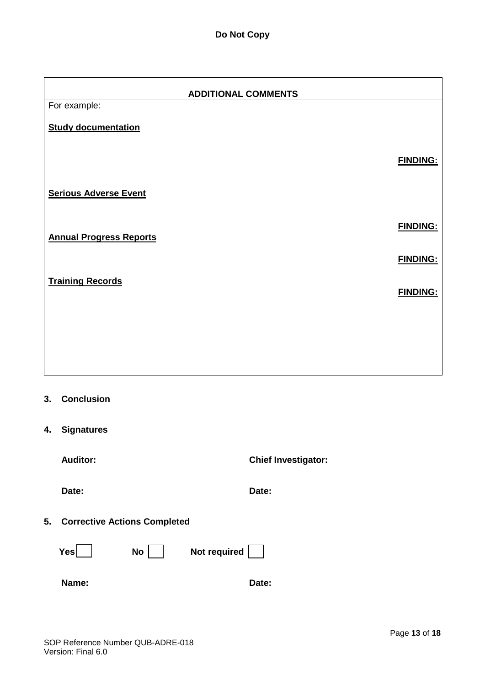| <b>ADDITIONAL COMMENTS</b>     |                 |  |  |  |
|--------------------------------|-----------------|--|--|--|
| For example:                   |                 |  |  |  |
| <b>Study documentation</b>     |                 |  |  |  |
|                                | <b>FINDING:</b> |  |  |  |
| <b>Serious Adverse Event</b>   |                 |  |  |  |
| <b>Annual Progress Reports</b> | <b>FINDING:</b> |  |  |  |
|                                | <b>FINDING:</b> |  |  |  |
| <b>Training Records</b>        | <b>FINDING:</b> |  |  |  |
|                                |                 |  |  |  |
|                                |                 |  |  |  |

- **3. Conclusion**
- **4. Signatures**

**Auditor: Chief Investigator:**

**Date: Date:**

**5. Corrective Actions Completed**

**Yes** No Not required

**Name: Date:**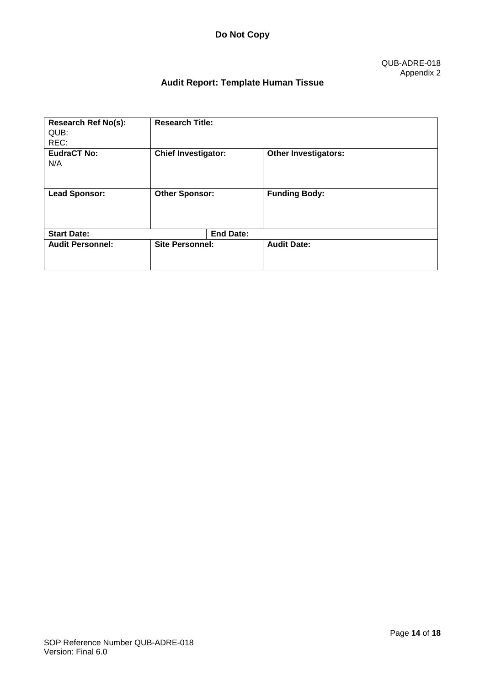# **Audit Report: Template Human Tissue**

| <b>Research Ref No(s):</b><br>QUB:<br>REC: | <b>Research Title:</b>     |                             |
|--------------------------------------------|----------------------------|-----------------------------|
| <b>EudraCT No:</b><br>N/A                  | <b>Chief Investigator:</b> | <b>Other Investigators:</b> |
| <b>Lead Sponsor:</b>                       | <b>Other Sponsor:</b>      | <b>Funding Body:</b>        |
| <b>Start Date:</b>                         | <b>End Date:</b>           |                             |
| <b>Audit Personnel:</b>                    | <b>Site Personnel:</b>     | <b>Audit Date:</b>          |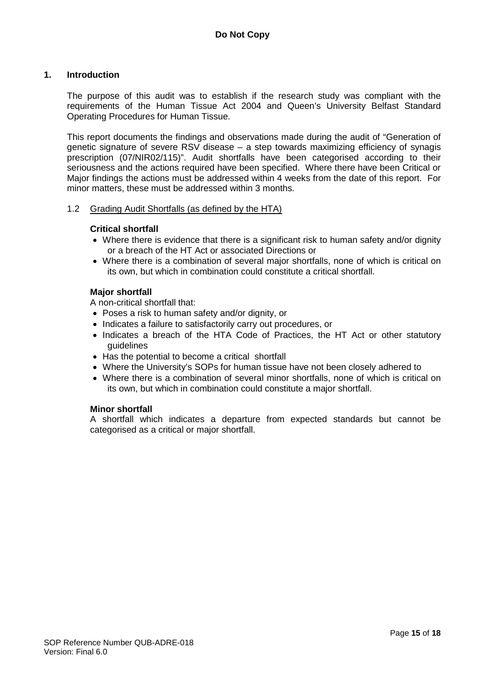#### **1. Introduction**

The purpose of this audit was to establish if the research study was compliant with the requirements of the Human Tissue Act 2004 and Queen's University Belfast Standard Operating Procedures for Human Tissue.

This report documents the findings and observations made during the audit of "Generation of genetic signature of severe RSV disease – a step towards maximizing efficiency of synagis prescription (07/NIR02/115)". Audit shortfalls have been categorised according to their seriousness and the actions required have been specified. Where there have been Critical or Major findings the actions must be addressed within 4 weeks from the date of this report. For minor matters, these must be addressed within 3 months.

#### 1.2 Grading Audit Shortfalls (as defined by the HTA)

#### **Critical shortfall**

- Where there is evidence that there is a significant risk to human safety and/or dignity or a breach of the HT Act or associated Directions or
- Where there is a combination of several major shortfalls, none of which is critical on its own, but which in combination could constitute a critical shortfall.

#### **Major shortfall**

A non-critical shortfall that:

- Poses a risk to human safety and/or dignity, or
- Indicates a failure to satisfactorily carry out procedures, or
- Indicates a breach of the HTA Code of Practices, the HT Act or other statutory guidelines
- Has the potential to become a critical shortfall
- Where the University's SOPs for human tissue have not been closely adhered to
- Where there is a combination of several minor shortfalls, none of which is critical on its own, but which in combination could constitute a major shortfall.

#### **Minor shortfall**

A shortfall which indicates a departure from expected standards but cannot be categorised as a critical or major shortfall.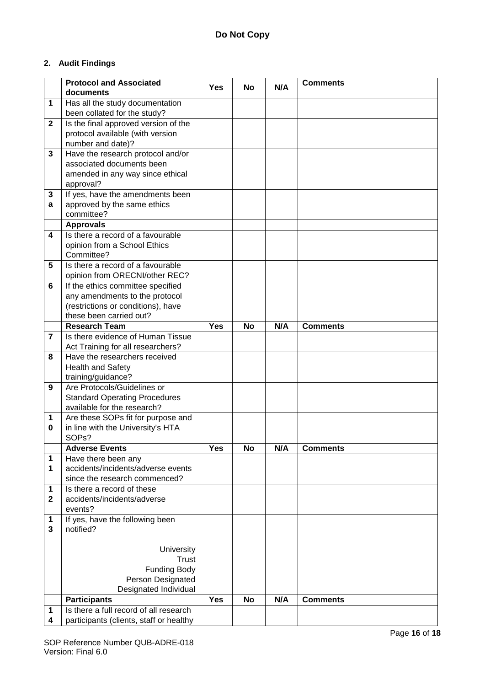# **2. Audit Findings**

|                | <b>Protocol and Associated</b>                                      |            |           |     | <b>Comments</b> |
|----------------|---------------------------------------------------------------------|------------|-----------|-----|-----------------|
|                | documents                                                           | <b>Yes</b> | No        | N/A |                 |
| 1              | Has all the study documentation                                     |            |           |     |                 |
|                | been collated for the study?                                        |            |           |     |                 |
| $\mathbf{2}$   | Is the final approved version of the                                |            |           |     |                 |
|                | protocol available (with version                                    |            |           |     |                 |
|                | number and date)?                                                   |            |           |     |                 |
| 3              | Have the research protocol and/or                                   |            |           |     |                 |
|                | associated documents been                                           |            |           |     |                 |
|                | amended in any way since ethical                                    |            |           |     |                 |
|                | approval?                                                           |            |           |     |                 |
| 3              | If yes, have the amendments been                                    |            |           |     |                 |
| a              | approved by the same ethics                                         |            |           |     |                 |
|                | committee?                                                          |            |           |     |                 |
|                | <b>Approvals</b>                                                    |            |           |     |                 |
| 4              | Is there a record of a favourable                                   |            |           |     |                 |
|                | opinion from a School Ethics                                        |            |           |     |                 |
|                | Committee?                                                          |            |           |     |                 |
| 5              | Is there a record of a favourable                                   |            |           |     |                 |
| 6              | opinion from ORECNI/other REC?<br>If the ethics committee specified |            |           |     |                 |
|                | any amendments to the protocol                                      |            |           |     |                 |
|                | (restrictions or conditions), have                                  |            |           |     |                 |
|                | these been carried out?                                             |            |           |     |                 |
|                | <b>Research Team</b>                                                | <b>Yes</b> | <b>No</b> | N/A | <b>Comments</b> |
| $\overline{7}$ | Is there evidence of Human Tissue                                   |            |           |     |                 |
|                | Act Training for all researchers?                                   |            |           |     |                 |
| 8              | Have the researchers received                                       |            |           |     |                 |
|                | Health and Safety                                                   |            |           |     |                 |
|                | training/guidance?                                                  |            |           |     |                 |
| 9              | Are Protocols/Guidelines or                                         |            |           |     |                 |
|                | <b>Standard Operating Procedures</b>                                |            |           |     |                 |
|                | available for the research?                                         |            |           |     |                 |
| 1              | Are these SOPs fit for purpose and                                  |            |           |     |                 |
| 0              | in line with the University's HTA                                   |            |           |     |                 |
|                | SOP <sub>s</sub> ?                                                  |            |           |     |                 |
|                | <b>Adverse Events</b>                                               | <b>Yes</b> | <b>No</b> | N/A | <b>Comments</b> |
| 1              | Have there been any                                                 |            |           |     |                 |
| 1              | accidents/incidents/adverse events                                  |            |           |     |                 |
|                | since the research commenced?                                       |            |           |     |                 |
| 1              | Is there a record of these                                          |            |           |     |                 |
| $\mathbf{2}$   | accidents/incidents/adverse                                         |            |           |     |                 |
|                | events?                                                             |            |           |     |                 |
| 1<br>3         | If yes, have the following been<br>notified?                        |            |           |     |                 |
|                |                                                                     |            |           |     |                 |
|                | University                                                          |            |           |     |                 |
|                | Trust                                                               |            |           |     |                 |
|                | <b>Funding Body</b>                                                 |            |           |     |                 |
|                | Person Designated                                                   |            |           |     |                 |
|                | Designated Individual                                               |            |           |     |                 |
|                | <b>Participants</b>                                                 | <b>Yes</b> | No        | N/A | <b>Comments</b> |
| 1              | Is there a full record of all research                              |            |           |     |                 |
| 4              | participants (clients, staff or healthy                             |            |           |     |                 |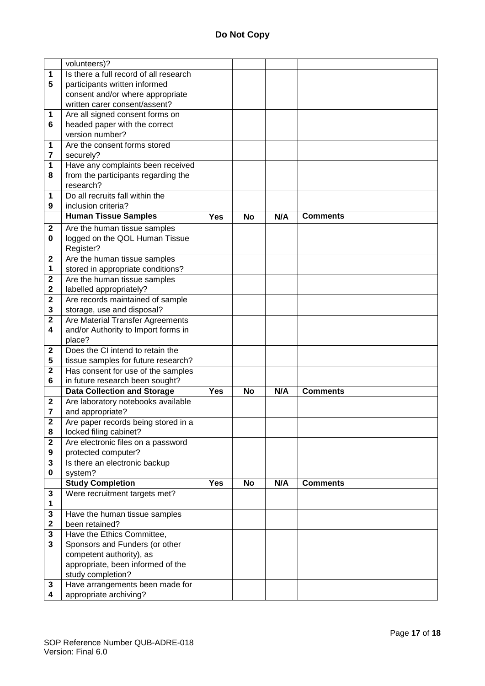|              | volunteers)?                                         |            |           |     |                 |
|--------------|------------------------------------------------------|------------|-----------|-----|-----------------|
| 1            | Is there a full record of all research               |            |           |     |                 |
| 5            | participants written informed                        |            |           |     |                 |
|              | consent and/or where appropriate                     |            |           |     |                 |
|              | written carer consent/assent?                        |            |           |     |                 |
| 1            | Are all signed consent forms on                      |            |           |     |                 |
| 6            | headed paper with the correct                        |            |           |     |                 |
|              | version number?                                      |            |           |     |                 |
| 1            | Are the consent forms stored                         |            |           |     |                 |
|              |                                                      |            |           |     |                 |
| 7            | securely?                                            |            |           |     |                 |
| 1            | Have any complaints been received                    |            |           |     |                 |
| 8            | from the participants regarding the                  |            |           |     |                 |
|              | research?                                            |            |           |     |                 |
| 1            | Do all recruits fall within the                      |            |           |     |                 |
| 9            | inclusion criteria?                                  |            |           |     |                 |
|              | <b>Human Tissue Samples</b>                          | <b>Yes</b> | <b>No</b> | N/A | <b>Comments</b> |
| $\mathbf{2}$ | Are the human tissue samples                         |            |           |     |                 |
|              |                                                      |            |           |     |                 |
| 0            | logged on the QOL Human Tissue                       |            |           |     |                 |
|              | Register?                                            |            |           |     |                 |
| $\mathbf 2$  | Are the human tissue samples                         |            |           |     |                 |
| 1            | stored in appropriate conditions?                    |            |           |     |                 |
| 2            | Are the human tissue samples                         |            |           |     |                 |
| 2            | labelled appropriately?                              |            |           |     |                 |
| $\mathbf{2}$ | Are records maintained of sample                     |            |           |     |                 |
| 3            | storage, use and disposal?                           |            |           |     |                 |
| $\mathbf{2}$ | Are Material Transfer Agreements                     |            |           |     |                 |
| 4            | and/or Authority to Import forms in                  |            |           |     |                 |
|              | place?                                               |            |           |     |                 |
| $\mathbf 2$  | Does the CI intend to retain the                     |            |           |     |                 |
|              |                                                      |            |           |     |                 |
| 5            | tissue samples for future research?                  |            |           |     |                 |
| $\mathbf 2$  | Has consent for use of the samples                   |            |           |     |                 |
| 6            | in future research been sought?                      |            |           |     |                 |
|              | <b>Data Collection and Storage</b>                   | Yes        | <b>No</b> | N/A | <b>Comments</b> |
| $\mathbf 2$  | Are laboratory notebooks available                   |            |           |     |                 |
| 7            | and appropriate?                                     |            |           |     |                 |
| 2            | Are paper records being stored in a                  |            |           |     |                 |
| 8            | locked filing cabinet?                               |            |           |     |                 |
| $\mathbf{2}$ | Are electronic files on a password                   |            |           |     |                 |
| 9            | protected computer?                                  |            |           |     |                 |
| 3            | Is there an electronic backup                        |            |           |     |                 |
| 0            | system?                                              |            |           |     |                 |
|              | <b>Study Completion</b>                              | <b>Yes</b> | <b>No</b> | N/A | <b>Comments</b> |
|              |                                                      |            |           |     |                 |
| 3            |                                                      |            |           |     |                 |
| 1            | Were recruitment targets met?                        |            |           |     |                 |
| 3            |                                                      |            |           |     |                 |
|              | Have the human tissue samples                        |            |           |     |                 |
| $\mathbf 2$  | been retained?                                       |            |           |     |                 |
| 3            | Have the Ethics Committee,                           |            |           |     |                 |
| 3            | Sponsors and Funders (or other                       |            |           |     |                 |
|              | competent authority), as                             |            |           |     |                 |
|              |                                                      |            |           |     |                 |
|              | appropriate, been informed of the                    |            |           |     |                 |
| 3            | study completion?<br>Have arrangements been made for |            |           |     |                 |